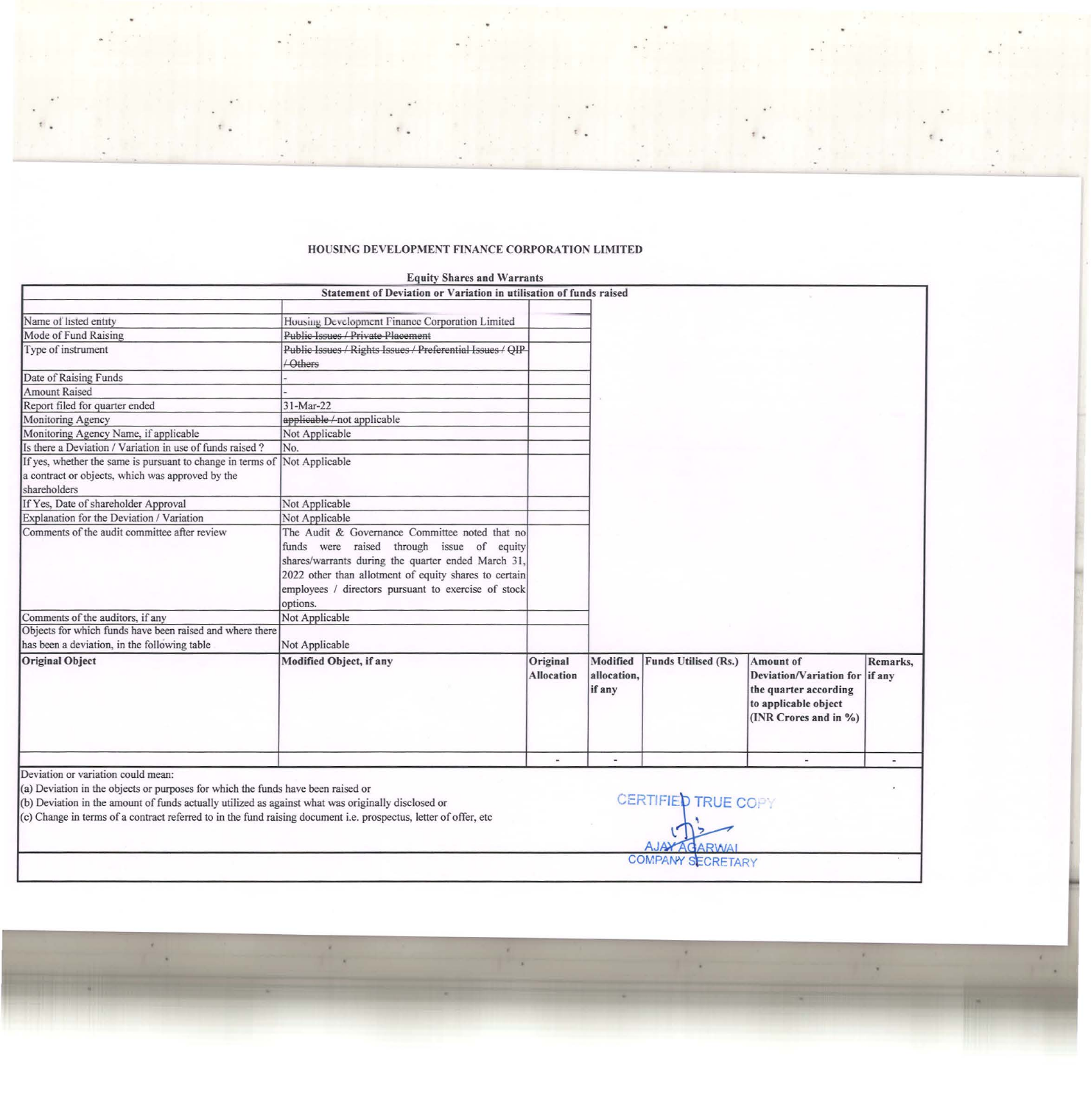## HOUSING DEVELOPMENT FINANCE CORPORATION LIMITED

|                                                                                                                                                                                                                                                                                                                                                  | <b>Equity Shares and Warrants</b>                                          |                               |                                   |                                                                              |                                                                                                                       |          |
|--------------------------------------------------------------------------------------------------------------------------------------------------------------------------------------------------------------------------------------------------------------------------------------------------------------------------------------------------|----------------------------------------------------------------------------|-------------------------------|-----------------------------------|------------------------------------------------------------------------------|-----------------------------------------------------------------------------------------------------------------------|----------|
|                                                                                                                                                                                                                                                                                                                                                  | Statement of Deviation or Variation in utilisation of funds raised         |                               |                                   |                                                                              |                                                                                                                       |          |
|                                                                                                                                                                                                                                                                                                                                                  |                                                                            |                               |                                   |                                                                              |                                                                                                                       |          |
| Name of listed entity                                                                                                                                                                                                                                                                                                                            | Housing Development Finance Corporation Limited                            |                               |                                   |                                                                              |                                                                                                                       |          |
| Mode of Fund Raising                                                                                                                                                                                                                                                                                                                             | Public Issues / Private Placement                                          |                               |                                   |                                                                              |                                                                                                                       |          |
| Type of instrument                                                                                                                                                                                                                                                                                                                               | Public Issues / Rights Issues / Preferential Issues / QIP<br><b>Others</b> |                               |                                   |                                                                              |                                                                                                                       |          |
| Date of Raising Funds                                                                                                                                                                                                                                                                                                                            |                                                                            |                               |                                   |                                                                              |                                                                                                                       |          |
| <b>Amount Raised</b>                                                                                                                                                                                                                                                                                                                             |                                                                            |                               |                                   |                                                                              |                                                                                                                       |          |
| Report filed for quarter ended                                                                                                                                                                                                                                                                                                                   | 31-Mar-22                                                                  |                               |                                   |                                                                              |                                                                                                                       |          |
| Monitoring Agency                                                                                                                                                                                                                                                                                                                                | applicable/not applicable                                                  |                               |                                   |                                                                              |                                                                                                                       |          |
| Monitoring Agency Name, if applicable                                                                                                                                                                                                                                                                                                            | Not Applicable                                                             |                               |                                   |                                                                              |                                                                                                                       |          |
| Is there a Deviation / Variation in use of funds raised?                                                                                                                                                                                                                                                                                         | No.                                                                        |                               |                                   |                                                                              |                                                                                                                       |          |
| If yes, whether the same is pursuant to change in terms of Not Applicable                                                                                                                                                                                                                                                                        |                                                                            |                               |                                   |                                                                              |                                                                                                                       |          |
| a contract or objects, which was approved by the                                                                                                                                                                                                                                                                                                 |                                                                            |                               |                                   |                                                                              |                                                                                                                       |          |
| shareholders                                                                                                                                                                                                                                                                                                                                     |                                                                            |                               |                                   |                                                                              |                                                                                                                       |          |
| If Yes, Date of shareholder Approval                                                                                                                                                                                                                                                                                                             | Not Applicable                                                             |                               |                                   |                                                                              |                                                                                                                       |          |
| Explanation for the Deviation / Variation                                                                                                                                                                                                                                                                                                        | Not Applicable                                                             |                               |                                   |                                                                              |                                                                                                                       |          |
| Comments of the audit committee after review                                                                                                                                                                                                                                                                                                     | The Audit & Governance Committee noted that no                             |                               |                                   |                                                                              |                                                                                                                       |          |
|                                                                                                                                                                                                                                                                                                                                                  | funds were raised through issue of equity                                  |                               |                                   |                                                                              |                                                                                                                       |          |
|                                                                                                                                                                                                                                                                                                                                                  | shares/warrants during the quarter ended March 31,                         |                               |                                   |                                                                              |                                                                                                                       |          |
|                                                                                                                                                                                                                                                                                                                                                  | 2022 other than allotment of equity shares to certain                      |                               |                                   |                                                                              |                                                                                                                       |          |
|                                                                                                                                                                                                                                                                                                                                                  | employees / directors pursuant to exercise of stock                        |                               |                                   |                                                                              |                                                                                                                       |          |
|                                                                                                                                                                                                                                                                                                                                                  | options.                                                                   |                               |                                   |                                                                              |                                                                                                                       |          |
| Comments of the auditors, if any                                                                                                                                                                                                                                                                                                                 | Not Applicable                                                             |                               |                                   |                                                                              |                                                                                                                       |          |
| Objects for which funds have been raised and where there                                                                                                                                                                                                                                                                                         |                                                                            |                               |                                   |                                                                              |                                                                                                                       |          |
| has been a deviation, in the following table                                                                                                                                                                                                                                                                                                     | Not Applicable                                                             |                               |                                   |                                                                              |                                                                                                                       |          |
|                                                                                                                                                                                                                                                                                                                                                  |                                                                            |                               |                                   |                                                                              |                                                                                                                       |          |
| <b>Original Object</b>                                                                                                                                                                                                                                                                                                                           | Modified Object, if any                                                    | Original<br><b>Allocation</b> | Modified<br>allocation.<br>if any | Funds Utilised (Rs.)                                                         | Amount of<br>Deviation/Variation for if any<br>the quarter according<br>to applicable object<br>(INR Crores and in %) | Remarks, |
|                                                                                                                                                                                                                                                                                                                                                  |                                                                            |                               |                                   |                                                                              |                                                                                                                       |          |
| Deviation or variation could mean:<br>(a) Deviation in the objects or purposes for which the funds have been raised or<br>(b) Deviation in the amount of funds actually utilized as against what was originally disclosed or<br>(c) Change in terms of a contract referred to in the fund raising document i.e. prospectus, letter of offer, etc |                                                                            |                               |                                   | <b>CERTIFIED TRUE COPY</b><br><b>AJAY AGARWA</b><br><b>COMPANY SECRETARY</b> |                                                                                                                       |          |